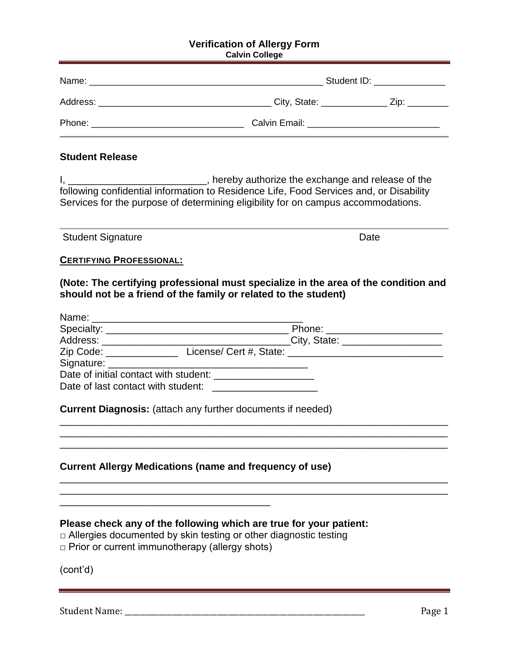#### **Verification of Allergy Form Calvin College**

| Name:                                                     |                 | Student ID: <b>Student ID:</b> |  |
|-----------------------------------------------------------|-----------------|--------------------------------|--|
| Address:<br><u> 1980 - Jan Barbara, mandalar parti da</u> | City, State: __ | Zip:                           |  |
| Phone:                                                    | Calvin Email:   |                                |  |

### **Student Release**

I, \_\_\_\_\_\_\_\_\_\_\_\_\_\_\_\_\_\_\_\_\_\_\_\_\_\_\_, hereby authorize the exchange and release of the following confidential information to Residence Life, Food Services and, or Disability Services for the purpose of determining eligibility for on campus accommodations.

Student Signature Date Date

### **CERTIFYING PROFESSIONAL:**

**(Note: The certifying professional must specialize in the area of the condition and should not be a friend of the family or related to the student)**

| Name: 2008 2009 2010 2021 2022 2023 2024 2022 2023 2024 2022 2023 2024 2022 2023 2024 2022 2023 2024 2022 2023 |                                   |
|----------------------------------------------------------------------------------------------------------------|-----------------------------------|
|                                                                                                                | Phone: _____________________      |
|                                                                                                                | City, State: ____________________ |
| Zip Code: ______________                                                                                       |                                   |
|                                                                                                                |                                   |
| Date of initial contact with student: _____________________                                                    |                                   |
| Date of last contact with student:                                                                             |                                   |

\_\_\_\_\_\_\_\_\_\_\_\_\_\_\_\_\_\_\_\_\_\_\_\_\_\_\_\_\_\_\_\_\_\_\_\_\_\_\_\_\_\_\_\_\_\_\_\_\_\_\_\_\_\_\_\_\_\_\_\_\_\_\_\_\_\_\_\_\_\_ \_\_\_\_\_\_\_\_\_\_\_\_\_\_\_\_\_\_\_\_\_\_\_\_\_\_\_\_\_\_\_\_\_\_\_\_\_\_\_\_\_\_\_\_\_\_\_\_\_\_\_\_\_\_\_\_\_\_\_\_\_\_\_\_\_\_\_\_\_\_ \_\_\_\_\_\_\_\_\_\_\_\_\_\_\_\_\_\_\_\_\_\_\_\_\_\_\_\_\_\_\_\_\_\_\_\_\_\_\_\_\_\_\_\_\_\_\_\_\_\_\_\_\_\_\_\_\_\_\_\_\_\_\_\_\_\_\_\_\_\_

\_\_\_\_\_\_\_\_\_\_\_\_\_\_\_\_\_\_\_\_\_\_\_\_\_\_\_\_\_\_\_\_\_\_\_\_\_\_\_\_\_\_\_\_\_\_\_\_\_\_\_\_\_\_\_\_\_\_\_\_\_\_\_\_\_\_\_\_\_\_ \_\_\_\_\_\_\_\_\_\_\_\_\_\_\_\_\_\_\_\_\_\_\_\_\_\_\_\_\_\_\_\_\_\_\_\_\_\_\_\_\_\_\_\_\_\_\_\_\_\_\_\_\_\_\_\_\_\_\_\_\_\_\_\_\_\_\_\_\_\_

**Current Diagnosis:** (attach any further documents if needed)

# **Current Allergy Medications (name and frequency of use)**

## **Please check any of the following which are true for your patient:**

- $\Box$  Allergies documented by skin testing or other diagnostic testing
- □ Prior or current immunotherapy (allergy shots)

\_\_\_\_\_\_\_\_\_\_\_\_\_\_\_\_\_\_\_\_\_\_\_\_\_\_\_\_\_\_\_\_\_\_\_\_\_\_

(cont'd)

Student Name: \_\_\_\_\_\_\_\_\_\_\_\_\_\_\_\_\_\_\_\_\_\_\_\_\_\_\_\_\_\_\_\_\_\_\_\_\_\_\_\_\_\_\_\_\_\_\_\_\_\_\_\_\_\_\_\_\_\_\_\_\_\_\_\_\_ Page 1